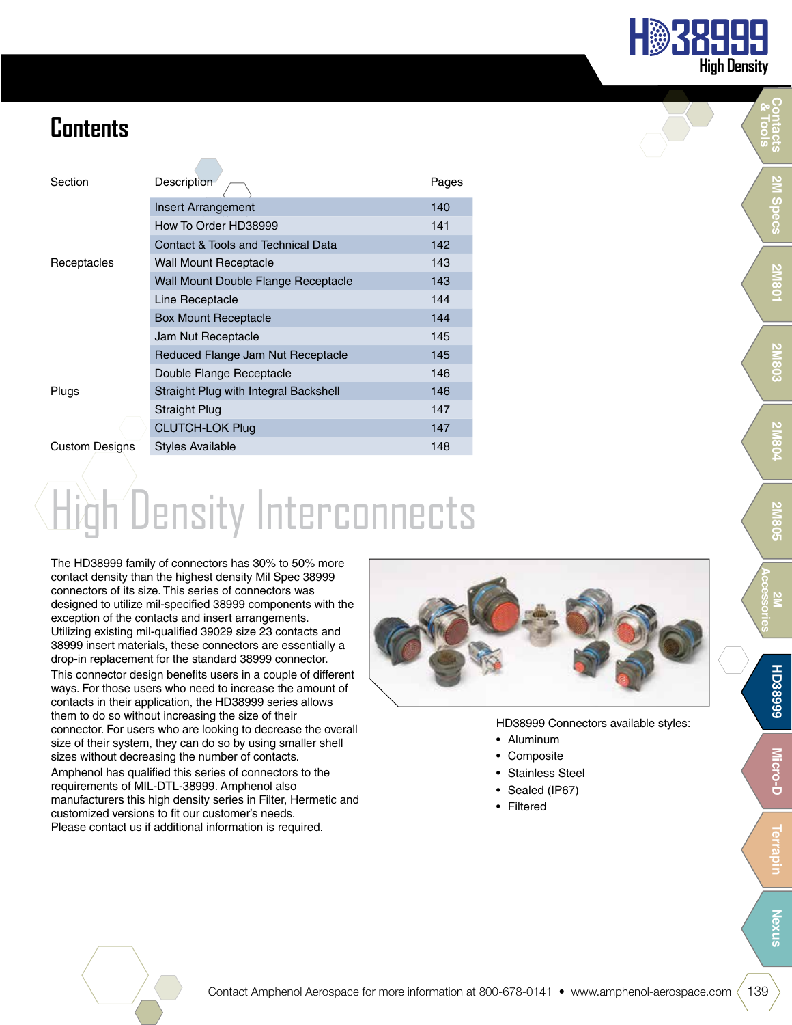

# **Contents**

| Section               | Description                           | Pages |
|-----------------------|---------------------------------------|-------|
|                       | Insert Arrangement                    | 140   |
|                       | How To Order HD38999                  | 141   |
|                       | Contact & Tools and Technical Data    | 142   |
| Receptacles           | <b>Wall Mount Receptacle</b>          | 143   |
|                       | Wall Mount Double Flange Receptacle   | 143   |
|                       | Line Receptacle                       | 144   |
|                       | <b>Box Mount Receptacle</b>           | 144   |
|                       | Jam Nut Receptacle                    | 145   |
|                       | Reduced Flange Jam Nut Receptacle     | 145   |
|                       | Double Flange Receptacle              | 146   |
| Plugs                 | Straight Plug with Integral Backshell | 146   |
|                       | Straight Plug                         | 147   |
|                       | <b>CLUTCH-LOK Plug</b>                | 147   |
| <b>Custom Designs</b> | Styles Available                      | 148   |

# High Density Interconnects

The HD38999 family of connectors has 30% to 50% more contact density than the highest density Mil Spec 38999 connectors of its size. This series of connectors was designed to utilize mil-specified 38999 components with the exception of the contacts and insert arrangements. Utilizing existing mil-qualified 39029 size 23 contacts and 38999 insert materials, these connectors are essentially a drop-in replacement for the standard 38999 connector.

This connector design benefits users in a couple of different ways. For those users who need to increase the amount of contacts in their application, the HD38999 series allows them to do so without increasing the size of their connector. For users who are looking to decrease the overall size of their system, they can do so by using smaller shell sizes without decreasing the number of contacts. Amphenol has qualified this series of connectors to the requirements of MIL-DTL-38999. Amphenol also manufacturers this high density series in Filter, Hermetic and customized versions to fit our customer's needs. Please contact us if additional information is required.



HD38999 Connectors available styles:

- Aluminum
- Composite
- Stainless Steel
- Sealed (IP67)
- Filtered

**Contacts & Tools**

**Nexus**

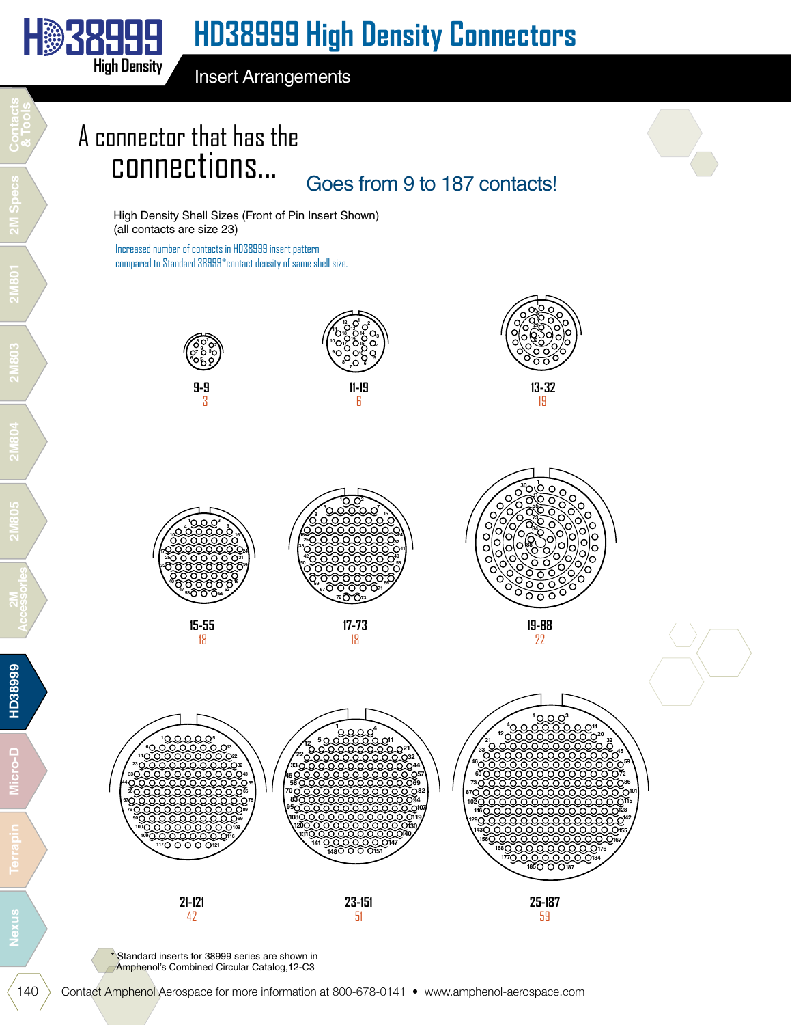Insert Arrangements

# A connector that has the connections...

Goes from 9 to 187 contacts!

High Density Shell Sizes (Front of Pin Insert Shown) (all contacts are size 23)

Increased number of contacts in HD38999 insert pattern compared to Standard 38999\*contact density of same shell size.





 



\* Standard inserts for 38999 series are shown in Amphenol's Combined Circular Catalog, 12-C3

**H 38999** 

**High Density**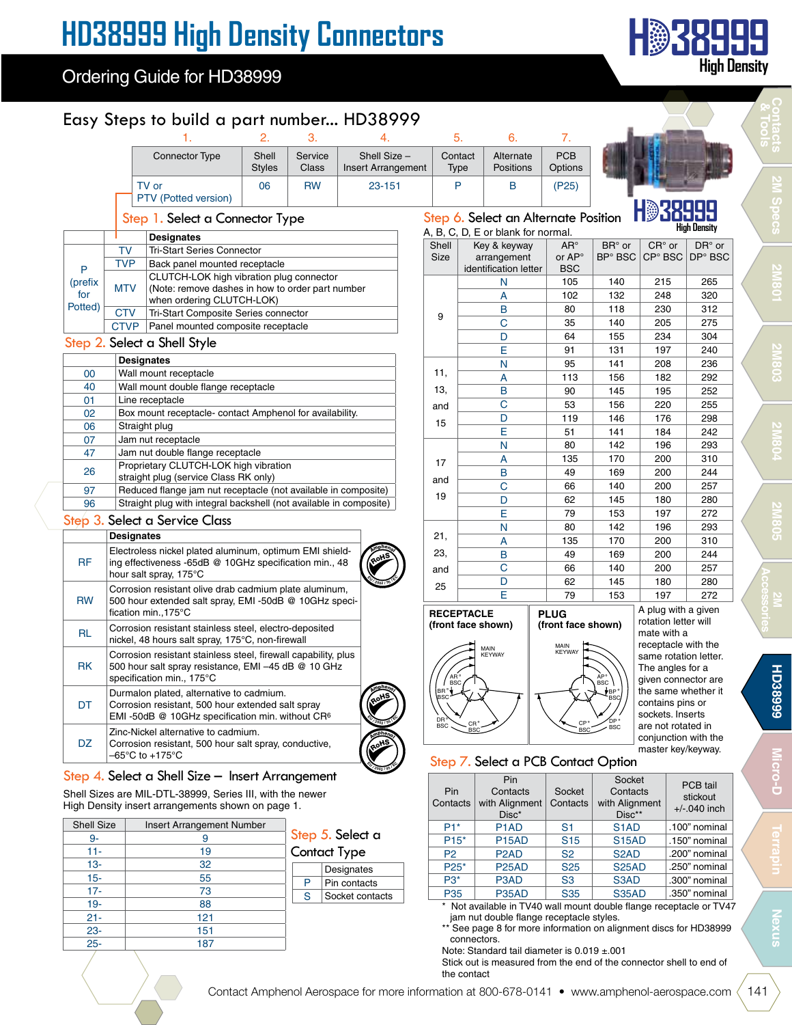### Ordering Guide for HD38999

### Easy Steps to build a part number... HD38999

| <b>Connector Type</b> | Shell<br><b>Styles</b> | Service<br>Class | Shell Size -<br><b>Insert Arrangement</b> | Contact<br>Type | Alternate<br>Positions | <b>PCB</b><br>Options |
|-----------------------|------------------------|------------------|-------------------------------------------|-----------------|------------------------|-----------------------|
| TV or                 | 06                     | <b>RW</b>        | 23-151                                    |                 |                        | (P25)                 |
| PTV (Potted version)  |                        |                  |                                           |                 |                        |                       |

#### Step 1. Select a Connector Type

|                |             | <b>Designates</b>                                                                                                         |
|----------------|-------------|---------------------------------------------------------------------------------------------------------------------------|
|                | TV          | <b>Tri-Start Series Connector</b>                                                                                         |
| P              | <b>TVP</b>  | Back panel mounted receptacle                                                                                             |
| (prefix<br>for | <b>MTV</b>  | CLUTCH-LOK high vibration plug connector<br>(Note: remove dashes in how to order part number<br>when ordering CLUTCH-LOK) |
| Potted)        | <b>CTV</b>  | Tri-Start Composite Series connector                                                                                      |
|                | <b>CTVP</b> | Panel mounted composite receptacle                                                                                        |

#### Step 2. Select a Shell Style

|    | <b>Designates</b>                                                  |
|----|--------------------------------------------------------------------|
| 00 | Wall mount receptacle                                              |
| 40 | Wall mount double flange receptacle                                |
| 01 | Line receptacle                                                    |
| 02 | Box mount receptacle-contact Amphenol for availability.            |
| 06 | Straight plug                                                      |
| 07 | Jam nut receptacle                                                 |
| 47 | Jam nut double flange receptacle                                   |
| 26 | Proprietary CLUTCH-LOK high vibration                              |
|    | straight plug (service Class RK only)                              |
| 97 | Reduced flange jam nut receptacle (not available in composite)     |
| 96 | Straight plug with integral backshell (not available in composite) |
|    |                                                                    |

#### Step 3. Select a Service Class

|           | Designates                                                                                                                                         |      |
|-----------|----------------------------------------------------------------------------------------------------------------------------------------------------|------|
| <b>RF</b> | Electroless nickel plated aluminum, optimum EMI shield-<br>ing effectiveness -65dB @ 10GHz specification min., 48<br>hour salt spray, 175°C        | RoHS |
| <b>RW</b> | Corrosion resistant olive drab cadmium plate aluminum,<br>500 hour extended salt spray, EMI -50dB @ 10GHz speci-<br>fication min., 175°C           |      |
| <b>RL</b> | Corrosion resistant stainless steel, electro-deposited<br>nickel, 48 hours salt spray, 175°C, non-firewall                                         |      |
| <b>RK</b> | Corrosion resistant stainless steel, firewall capability, plus<br>500 hour salt spray resistance, EMI -45 dB @ 10 GHz<br>specification min., 175°C |      |
| DT        | Durmalon plated, alternative to cadmium.<br>Corrosion resistant, 500 hour extended salt spray<br>EMI-50dB @ 10GHz specification min. without $CR6$ | RoHS |
| DZ        | Zinc-Nickel alternative to cadmium.<br>Corrosion resistant, 500 hour salt spray, conductive,<br>–65°C to +175°C                                    | RoHS |

#### Step 4. Select a Shell Size – Insert Arrangement

Shell Sizes are MIL-DTL-38999, Series III, with the newer High Density insert arrangements shown on page 1.

|             | Insert Arrangement Number | <b>Shell Size</b> |
|-------------|---------------------------|-------------------|
|             | 9                         | 9-                |
| Step<br>Con | 19                        | $11 -$            |
|             | 32                        | $13 -$            |
| P           | 55                        | $15-$             |
| S           | 73                        | $17 -$            |
|             | 88                        | $19 -$            |
|             | 121                       | $21 -$            |
|             | 151                       | $\frac{23}{25}$   |
|             | 187                       |                   |

p 5. Select a tact Type

|  | Designates      |
|--|-----------------|
|  | Pin contacts    |
|  | Socket contacts |

## Step 6. Select an Alternate Position

| Step 6. Select an Alternate Position<br><b>High Density</b><br>A, B, C, D, E or blank for normal. |              |                       |                    |                            |                 |          |  |  |  |  |  |  |
|---------------------------------------------------------------------------------------------------|--------------|-----------------------|--------------------|----------------------------|-----------------|----------|--|--|--|--|--|--|
| Shell                                                                                             | Key & keyway |                       | $AR^{\circ}$       | $BRo$ or                   | $CR^{\circ}$ or | $DR°$ or |  |  |  |  |  |  |
| Size                                                                                              |              | arrangement           | or AP <sup>o</sup> | <b>BP</b> <sup>o</sup> BSC | CP° BSC         | DP° BSC  |  |  |  |  |  |  |
|                                                                                                   |              | identification letter | <b>BSC</b>         |                            |                 |          |  |  |  |  |  |  |
|                                                                                                   |              | N                     | 105                | 140                        | 215             | 265      |  |  |  |  |  |  |
|                                                                                                   |              | A                     | 102                | 132                        | 248             | 320      |  |  |  |  |  |  |
| 9                                                                                                 |              | B                     | 80                 | 118                        | 230             | 312      |  |  |  |  |  |  |
|                                                                                                   |              | Ċ                     | 35                 | 140                        | 205             | 275      |  |  |  |  |  |  |
|                                                                                                   |              | D                     | 64                 | 155                        | 234             | 304      |  |  |  |  |  |  |
|                                                                                                   |              | E                     | 91                 | 131                        | 197             | 240      |  |  |  |  |  |  |
|                                                                                                   |              | N                     | 95                 | 141                        | 208             | 236      |  |  |  |  |  |  |
| 11,                                                                                               |              | A                     | 113                | 156                        | 182             | 292      |  |  |  |  |  |  |
| 13,                                                                                               |              | B                     | 90                 | 145                        | 195             | 252      |  |  |  |  |  |  |
| and                                                                                               |              | Ċ                     | 53                 | 156                        | 220             | 255      |  |  |  |  |  |  |
| 15                                                                                                |              | D                     |                    | 146                        | 176             | 298      |  |  |  |  |  |  |
|                                                                                                   |              | E                     | 51                 | 141                        | 184             | 242      |  |  |  |  |  |  |
|                                                                                                   |              | N                     | 80                 | 142                        | 196             | 293      |  |  |  |  |  |  |
| 17                                                                                                |              | A                     | 135                | 170                        | 200             | 310      |  |  |  |  |  |  |
|                                                                                                   |              | B                     | 49                 | 169                        | 200             | 244      |  |  |  |  |  |  |
| and                                                                                               |              | Ċ                     | 66                 | 140                        | 200             | 257      |  |  |  |  |  |  |
| 19                                                                                                |              | D                     | 62                 | 145                        | 180             | 280      |  |  |  |  |  |  |
|                                                                                                   |              | Ë                     | 79                 | 153                        | 197             | 272      |  |  |  |  |  |  |
|                                                                                                   |              | N                     | 80                 | 142                        | 196             | 293      |  |  |  |  |  |  |
| 21,                                                                                               |              | A                     | 135                | 170                        | 200             | 310      |  |  |  |  |  |  |
| 23,                                                                                               |              | B                     | 49                 | 169                        | 200             | 244      |  |  |  |  |  |  |
| and                                                                                               |              | Ċ                     | 66                 | 140                        | 200             | 257      |  |  |  |  |  |  |
| 25                                                                                                |              | D                     | 62                 | 145                        | 180             | 280      |  |  |  |  |  |  |
|                                                                                                   |              | E                     | 79                 | 153                        | 197             | 272      |  |  |  |  |  |  |
|                                                                                                   |              |                       |                    |                            |                 |          |  |  |  |  |  |  |



A plug with a given rotation letter will mate with a receptacle with the same rotation letter. The angles for a given connector are the same whether it contains pins or sockets. Inserts are not rotated in conjunction with the

˚

#### Step 7. Select a PCB Contact Option master key/keyway.

| Pin<br>Contacts | Pin<br>Contacts<br>with Alignment<br>$Disc*$ |                 | Socket<br>Contacts<br>with Alignment<br>$Disc**$                    | PCB tail<br>stickout<br>$+/-.040$ inch |
|-----------------|----------------------------------------------|-----------------|---------------------------------------------------------------------|----------------------------------------|
| $P1*$           | P <sub>1</sub> A <sub>D</sub>                | S1              | S <sub>1</sub> AD                                                   | .100" nominal                          |
| $P15*$          | <b>P15AD</b>                                 | <b>S15</b>      | <b>S15AD</b>                                                        | .150" nominal                          |
| P <sub>2</sub>  | P <sub>2</sub> AD                            | S <sub>2</sub>  | S <sub>2</sub> AD                                                   | .200" nominal                          |
| $P25*$          | P <sub>25</sub> AD                           | S <sub>25</sub> | <b>S25AD</b>                                                        | .250" nominal                          |
| $P3*$           | P3AD                                         | S <sub>3</sub>  | S <sub>3</sub> AD                                                   | .300" nominal                          |
| <b>P35</b>      | P35AD                                        | <b>S35</b>      | <b>S35AD</b>                                                        | .350" nominal                          |
|                 |                                              |                 | * Not available in TV40 wall mount double flange receptacle or TV47 |                                        |

jam nut double flange receptacle styles.

\*\* See page 8 for more information on alignment discs for HD38999 connectors.

Note: Standard tail diameter is 0.019 ±.001

Stick out is measured from the end of the connector shell to end of the contact

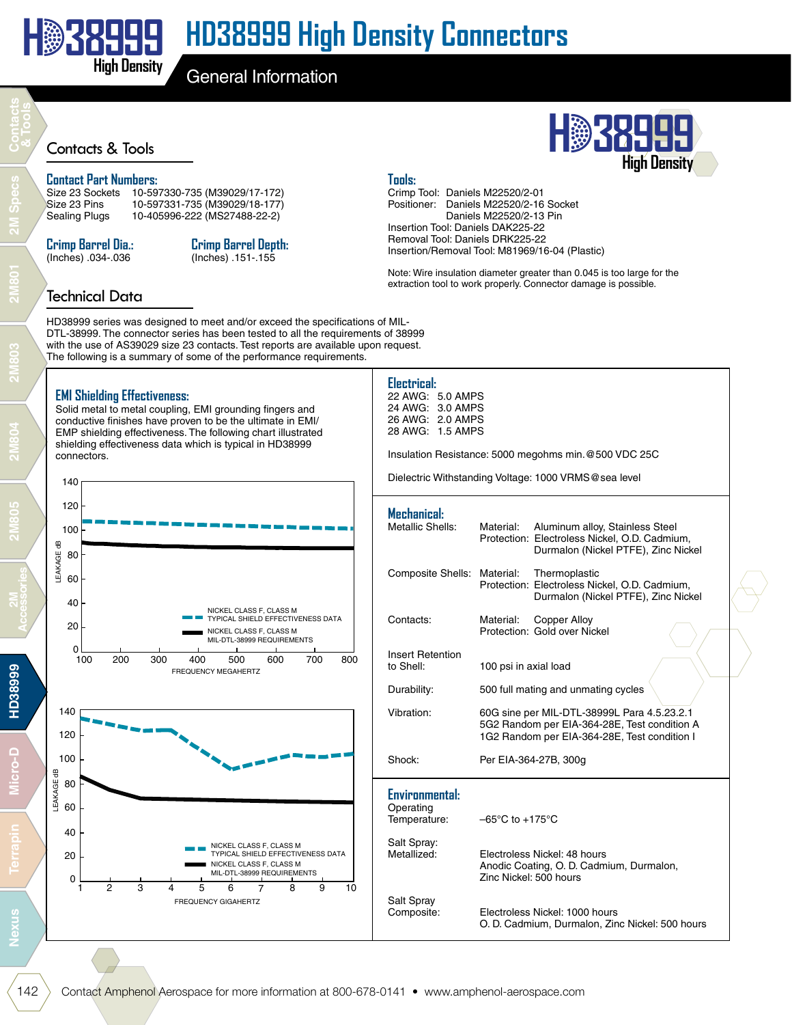

General Information

# Contacts & Tools **H 38999**

#### **Contact Part Numbers:**

Size 23 Sockets 10-597330-735 (M39029/17-172) Size 23 Pins 10-597331-735 (M39029/18-177)<br>Sealing Plugs 10-405996-222 (MS27488-22-2) 10-405996-222 (MS27488-22-2)

#### **Crimp Barrel Dia.:** (Inches) .034-.036

### **Crimp Barrel Depth:**

(Inches) .151-.155

### **Tools:**

Crimp Tool: Daniels M22520/2-01 Positioner: Daniels M22520/2-16 Socket Daniels M22520/2-13 Pin Insertion Tool: Daniels DAK225-22 Removal Tool: Daniels DRK225-22

Insertion/Removal Tool: M81969/16-04 (Plastic)

Note: Wire insulation diameter greater than 0.045 is too large for the extraction tool to work properly. Connector damage is possible.

**High Density**

### Technical Data

HD38999 series was designed to meet and/or exceed the specifications of MIL-DTL-38999. The connector series has been tested to all the requirements of 38999 with the use of AS39029 size 23 contacts. Test reports are available upon request. The following is a summary of some of the performance requirements.

### **EMI Shielding Effectiveness:**

Solid metal to metal coupling, EMI grounding fingers and conductive finishes have proven to be the ultimate in EMI/ EMP shielding effectiveness. The following chart illustrated shielding effectiveness data which is typical in HD38999 connectors.



FREQUENCY GIGAHERTZ

**Electrical:** 22 AWG: 5.0 AMPS 24 AWG: 3.0 AMPS 26 AWG: 2.0 AMPS 28 AWG: 1.5 AMPS

Insulation Resistance: 5000 megohms min.@500 VDC 25C

Dielectric Withstanding Voltage: 1000 VRMS@sea level

| Mechanical:<br>Metallic Shells:                    | Material:                                                                                                                                   | Aluminum alloy, Stainless Steel<br>Protection: Electroless Nickel, O.D. Cadmium,<br>Durmalon (Nickel PTFE), Zinc Nickel |  |  |  |  |  |
|----------------------------------------------------|---------------------------------------------------------------------------------------------------------------------------------------------|-------------------------------------------------------------------------------------------------------------------------|--|--|--|--|--|
| <b>Composite Shells:</b>                           | Material:                                                                                                                                   | Thermoplastic<br>Protection: Electroless Nickel, O.D. Cadmium,<br>Durmalon (Nickel PTFE), Zinc Nickel                   |  |  |  |  |  |
| Contacts:                                          | Material:                                                                                                                                   | Copper Alloy<br>Protection: Gold over Nickel                                                                            |  |  |  |  |  |
| <b>Insert Retention</b><br>to Shell:               | 100 psi in axial load                                                                                                                       |                                                                                                                         |  |  |  |  |  |
| Durability:                                        |                                                                                                                                             | 500 full mating and unmating cycles                                                                                     |  |  |  |  |  |
| Vibration:                                         | 60G sine per MIL-DTL-38999L Para 4.5.23.2.1<br>5G2 Random per EIA-364-28E, Test condition A<br>1G2 Random per EIA-364-28E, Test condition I |                                                                                                                         |  |  |  |  |  |
| Shock:                                             | Per EIA-364-27B, 300g                                                                                                                       |                                                                                                                         |  |  |  |  |  |
| <b>Environmental:</b><br>Operating<br>Temperature: | $-65^{\circ}$ C to $+175^{\circ}$ C                                                                                                         |                                                                                                                         |  |  |  |  |  |
| Salt Spray:<br>Metallized:                         | Zinc Nickel: 500 hours                                                                                                                      | Electroless Nickel: 48 hours<br>Anodic Coating, O. D. Cadmium, Durmalon,                                                |  |  |  |  |  |
| Salt Spray<br>Composite:                           |                                                                                                                                             | Electroless Nickel: 1000 hours<br>O. D. Cadmium, Durmalon, Zinc Nickel: 500 hours                                       |  |  |  |  |  |

 $\Omega$ 

1 2 3 4 5

6 7 8 9 10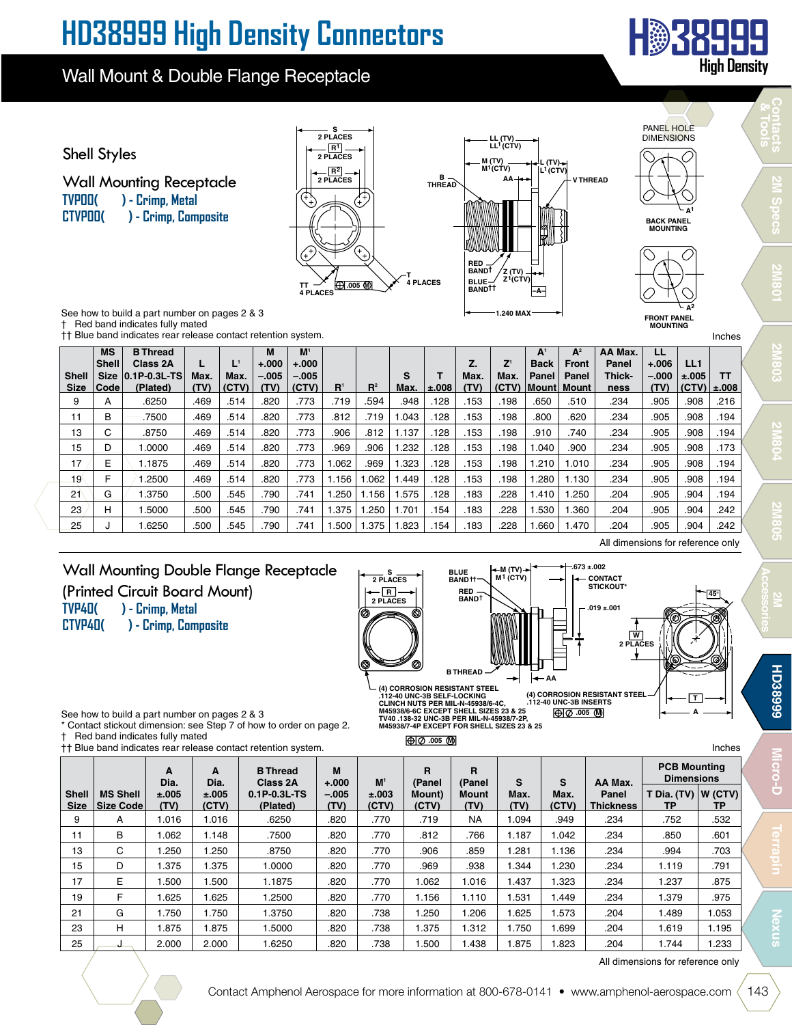### Wall Mount & Double Flange Receptacle



**Contacts & Tools**

**2M Specs**

**2M801**

**2M803**

**2M804**

**2M805**



**Shell Size MS Shell Size Code B Thread Class 2A 0.1P-0.3L-TS (Plated) L Max. (TV) L1 Max. (CTV) M +.000 –.005 (TV) M1 +.000 –.005 (CTV) R1 R2 S Max. T ±.008 Z. Max. (TV) Z1 Max. (CTV) A1 Back Panel Mount**  $A^2$ **Front Panel Mount AA Max. Panel Thickness LL +.006 –.000 (TV) LL1 ±.005 (CTV) TT ±.008** 216. | 908. | 234. | 500. | 500. | 198. | 153. | 348. | 544. | 773. | 773. | 584. | 585. | 500. | A | 9 11 | B |  $-$  .7500  $\,$  | .469 | .469 | .514 .128 | .512 | .773 | .773 | .773 | .194 | .512 | .514 | .514 | .773 | .773 | .048 | .514 | .773 | .514 | .773 | .773 | .773 | .514 | .773 | .773 | .512 | .512 | .512 | .512 | .5 148. | 908. | 916. | 910. | 910. | 918. | 128. | 128. | 137. | 307. | 812. | 514. | 469. | -8750 .| 308. | 13 151. | 908. | 906. | 904. | 900. | 910. | 153. | 153. | 153. | 163. | 173. | 173. | 173. | 180. | 173. | 173. | 174 .194 .905 | 1.210 | 1.210 | 1.210 | 1.210 | 1.323 | 1.323 | 1.323 | 1.323 | 1.210 | 1.010 | 1.323 .184 | 1 194. | 908. | 91.250. | 1.130 | 1.280 .1.30 | 1.156 | 1.156 | 1.156 | 1.156 | 773 | 1.449 .514 .905 | 1.280 | 1 194. | 904. | 905. | 1.410 | 1.250 | 1.410 | 1.250 | 1.575 | 1.156 | 1.575 | 741 | 750 | 545. | 500 | 500 | 21 242. | 904. | 905. | 1.530 | 1.530 | 1.530 | 1.375 | 1.375 | 1.375 | 1.375 | 1.375 | 500 | 500 | 1.300 | 1.300 | 1.300 | 1. 242. | 904. | 905. | 1.660 | 1.660 | 228. | 1.83. | 1.825 | 1.500 | 1.500 | 741. | 790. | 545. | 500. | 1.6250 | 1.6250 | 1.6250 | 1.500 | 1.500 | 1.820 | 1.823 †† Blue band indicates rear release contact retention system. Inches

### Wall Mounting Double Flange Receptacle (Printed Circuit Board Mount) **TVP40( ) - Crimp, Metal**

**CTVP40( ) - Crimp, Composite**



**M45938/7-4P EXCEPT FOR SHELL SIZES 23 & 25**

**.005 M**

See how to build a part number on pages 2 & 3

Contact stickout dimension: see Step 7 of how to order on page 2. † Red band indicates fully mated

|                             | $\sim$ $\sim$<br>tt Blue band indicates rear release contact retention system.<br>Inches |               |                |                                |                 |                |                 |               |              |               |                           |                   |                                          |  |
|-----------------------------|------------------------------------------------------------------------------------------|---------------|----------------|--------------------------------|-----------------|----------------|-----------------|---------------|--------------|---------------|---------------------------|-------------------|------------------------------------------|--|
|                             |                                                                                          | A<br>Dia.     | A<br>Dia.      | <b>B</b> Thread<br>Class 2A    | M<br>$+.000$    | M <sup>1</sup> | R<br>(Panel     | R<br>(Panel   | S            | S             | AA Max.                   |                   | <b>PCB Mounting</b><br><b>Dimensions</b> |  |
| <b>Shell</b><br><b>Size</b> | <b>MS Shell</b><br>Size Code                                                             | ±.005<br>(TV) | ±.005<br>(CTV) | $0.1P - 0.3L - TS$<br>(Plated) | $-.005$<br>(TV) | ±.003<br>(CTV) | Mount)<br>(CTV) | Mount<br>(TV) | Max.<br>(TV) | Max.<br>(CTV) | Panel<br><b>Thickness</b> | T Dia. (TV)<br>ТP | W(GTV) <br>ТP                            |  |
| 9                           | A                                                                                        | 1.016         | 1.016          | .6250                          | .820            | .770           | .719            | <b>NA</b>     | .094         | .949          | .234                      | .752              | .532                                     |  |
| 11                          | B                                                                                        | 1.062         | 1.148          | .7500                          | .820            | .770           | .812            | .766          | 1.187        | 1.042         | .234                      | .850              | .601                                     |  |
| 13                          | C                                                                                        | 1.250         | 1.250          | .8750                          | .820            | .770           | .906            | .859          | .281         | 1.136         | .234                      | .994              | .703                                     |  |
| 15                          | D                                                                                        | .375          | 1.375          | .0000                          | .820            | .770           | .969            | .938          | .344         | .230          | .234                      | 1.119             | .791                                     |  |
| 17                          | E                                                                                        | .500          | 1.500          | 1.1875                         | .820            | .770           | 1.062           | 1.016         | 1.437        | .323          | .234                      | 1.237             | .875                                     |  |
| 19                          | F                                                                                        | .625          | 1.625          | 1.2500                         | .820            | .770           | 1.156           | 1.110         | 1.531        | I.449         | .234                      | 1.379             | .975                                     |  |
| 21                          | G                                                                                        | 1.750         | 1.750          | 1.3750                         | .820            | .738           | .250            | 1.206         | .625         | .573          | .204                      | 1.489             | 1.053                                    |  |
| 23                          | н                                                                                        | 1.875         | 1.875          | 1.5000                         | .820            | .738           | 1.375           | 1.312         | 1.750        | .699          | .204                      | 1.619             | 1.195                                    |  |
| 25                          |                                                                                          | 2.000         | 2.000          | .6250                          | .820            | .738           | .500            | 1.438         | .875         | .823          | .204                      | 1.744             | .233                                     |  |

All dimensions for reference only

All dimensions for reference only

**W 2 PLACES**

**CONTACT STICKOUT\* .019 ±.001**

> **A T**

**45°**

**2M Accessories**

**Nexus**

**Micro-D**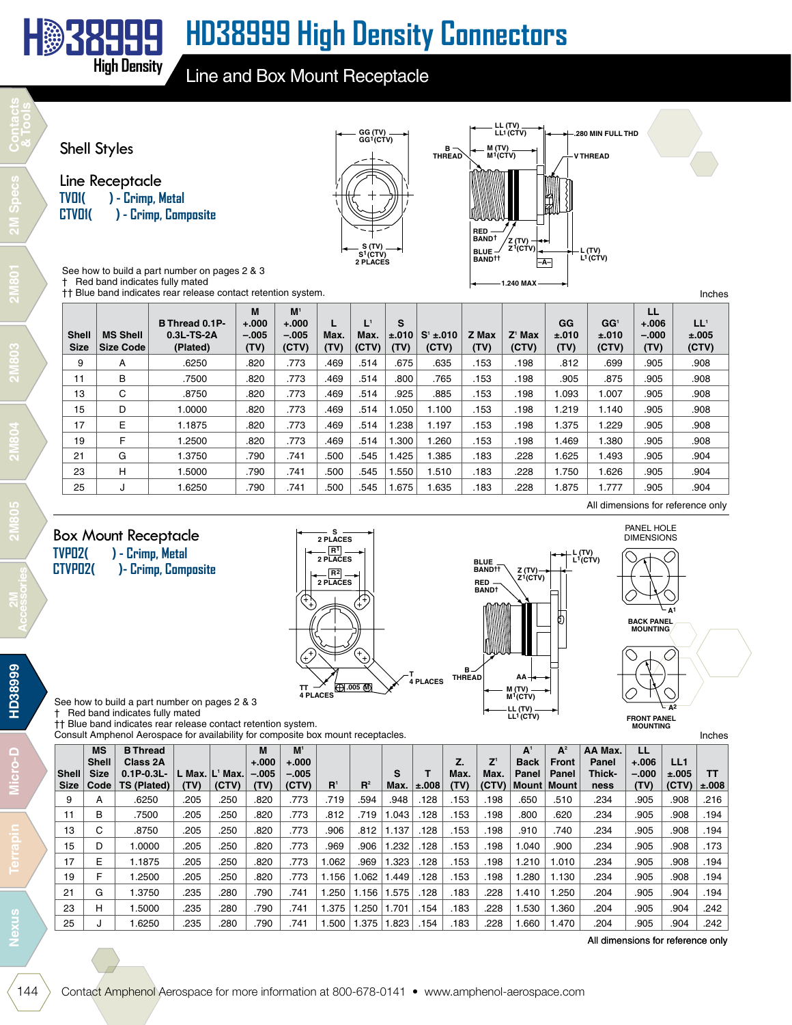

Line and Box Mount Receptacle



| <b>Shell</b><br><b>Size</b> | <b>MS Shell</b><br><b>Size Code</b> | B Thread 0.1P-<br>$0.3L$ -TS-2A<br>(Plated) | M<br>$+.000$<br>$-.005$<br>(TV) | M <sup>1</sup><br>$+.000$<br>$-.005$<br>(CTV) | Max.<br>(TV) | Max.<br>(CTV) | S<br>±.010<br>(TV) | $S' = 010$<br>(CTV) | Z Max<br>(TV) | $Z^1$ Max<br>(CTV) | GG<br>±.010<br>(TV) | GG <sup>1</sup><br>±.010<br>(CTV) | LL<br>$+.006$<br>$-.000$<br>(TV) | $LL^1$<br>±.005<br>(CTV)          |
|-----------------------------|-------------------------------------|---------------------------------------------|---------------------------------|-----------------------------------------------|--------------|---------------|--------------------|---------------------|---------------|--------------------|---------------------|-----------------------------------|----------------------------------|-----------------------------------|
| 9                           | A                                   | .6250                                       | .820                            | .773                                          | .469         | .514          | .675               | .635                | .153          | .198               | .812                | .699                              | .905                             | .908                              |
| 11                          | в                                   | .7500                                       | .820                            | .773                                          | .469         | .514          | .800               | .765                | .153          | .198               | .905                | .875                              | .905                             | .908                              |
| 13                          | C                                   | .8750                                       | .820                            | .773                                          | .469         | .514          | .925               | .885                | .153          | .198               | 1.093               | 1.007                             | .905                             | .908                              |
| 15                          | D                                   | 1.0000                                      | .820                            | .773                                          | .469         | .514          | .050               | 1.100               | .153          | .198               | .219                | 1.140                             | .905                             | .908                              |
| 17                          | E                                   | 1.1875                                      | .820                            | .773                                          | .469         | .514          | .238               | 1.197               | .153          | .198               | .375                | .229                              | .905                             | .908                              |
| 19                          | F                                   | 1.2500                                      | .820                            | .773                                          | .469         | .514          | .300               | .260                | .153          | .198               | .469                | .380                              | .905                             | .908                              |
| 21                          | G                                   | 1.3750                                      | .790                            | .741                                          | .500         | .545          | 1.425              | 1.385               | .183          | .228               | .625                | .493                              | .905                             | .904                              |
| 23                          | н                                   | 1.5000                                      | .790                            | .741                                          | .500         | .545          | 1.550              | 1.510               | .183          | .228               | .750                | .626                              | .905                             | .904                              |
| 25                          | J                                   | 1.6250                                      | .790                            | .741                                          | .500         | .545          | 1.675              | 1.635               | .183          | .228               | .875                | .777                              | .905                             | .904                              |
|                             |                                     |                                             |                                 |                                               |              |               |                    |                     |               |                    |                     |                                   |                                  | All dimensions for reference only |

### Box Mount Receptacle<br>TVPD2() - Crimp, Metal ) - Crimp, Metal

**H 38999**

**High Density**

**CTVP02( )- Crimp, Composite**

| s<br>2 PLACES<br>R <sup>1</sup> |               |
|---------------------------------|---------------|
| 2 PLACES                        | BL            |
| $R^2$                           | B/            |
| 2 PLACES                        | RI<br>B/      |
|                                 |               |
|                                 | в             |
| т<br>4 PLACES<br>(F) 005 (M)    | <b>THREAD</b> |
| <b>4 PLACES</b>                 |               |



**DIMENSIONS BACK PANEL MOUNTING A1 A**<sup>2</sup>

PANEL HOLE

**FRONT PANEL MOUNTING**

Inches

See how to build a part number on pages 2 & 3 † Red band indicates fully mated

†† Blue band indicates rear release contact retention system.

Consult Amphenol Aerospace for availability for composite box mount receptacles.

|              | <b>MS</b>    | <b>B</b> Thread    |              |       | М        | $M^{\prime}$ |                |       |       |            |      |                                      | A <sup>1</sup> | $A^2$ | AA Max. | LL      |       |           |
|--------------|--------------|--------------------|--------------|-------|----------|--------------|----------------|-------|-------|------------|------|--------------------------------------|----------------|-------|---------|---------|-------|-----------|
|              | <b>Shell</b> | Class 2A           |              |       | $+.000$  | $+.000 +$    |                |       |       |            | Z.   | $\mathsf{Z}^{\scriptscriptstyle{1}}$ | <b>Back</b>    | Front | Panel   | $+.006$ | LL1   |           |
| <b>Shell</b> | <b>Size</b>  | $0.1P - 0.3L -$    | $Max.  L^1 $ | Max.  | $-0.005$ | $-.005$      |                |       | S     |            | Max. | Max.                                 | Panel          | Panel | Thick-  | $-.000$ | ±.005 | тт        |
| <b>Size</b>  | Code         | <b>TS (Plated)</b> | (TV)         | (CTV) | (TV)     | (CTV)        | $\mathbf{R}^1$ | $R^2$ | Max.  | $\pm .008$ | (TV) | (CTV)                                | Mount   Mount  |       | ness    | (TV)    | (CTV) | $\pm.008$ |
| 9            | A            | .6250              | .205         | .250  | .820     | .773         | .719           | .594  | .948  | 128        | .153 | .198                                 | .650           | .510  | .234    | .905    | .908  | .216      |
| 11           | B            | .7500              | .205         | .250  | .820     | .773         | .812           | .719  | .043  | 128        | .153 | .198                                 | .800           | .620  | .234    | .905    | .908  | .194      |
| 13           | ⌒<br>◡       | .8750              | .205         | .250  | .820     | .773         | .906           | .812  | 1.137 | 128        | .153 | .198                                 | .910           | .740  | .234    | .905    | .908  | .194      |
| 15           | D            | .0000              | .205         | .250  | .820     | .773         | .969           | .906  | .232  | 128        | .153 | .198                                 | .040           | .900  | .234    | .905    | .908  | .173      |
| 17           | E            | .1875              | .205         | .250  | .820     | .773         | .062           | .969  | .323  | 128        | .153 | .198                                 | 1.210          | 1.010 | .234    | .905    | .908  | .194      |
| 19           |              | .2500              | .205         | .250  | .820     | .773         | 1.156          | .062  | .449  | 128        | .153 | .198                                 | .280           | 1.130 | .234    | .905    | .908  | .194      |
| 21           | G            | .3750              | .235         | .280  | .790     | .741         | .250           | 1.156 | .575  | 128        | .183 | .228                                 | 1.410          | .250  | .204    | .905    | .904  | .194      |
| 23           | н            | .5000              | .235         | .280  | .790     | .741         | .375           | .250  | .701  | 154        | .183 | .228                                 | .530           | .360  | .204    | .905    | .904  | .242      |
| 25           |              | .6250              | .235         | .280  | .790     | .741         | .500           | .375  | .823  | 154        | .183 | .228                                 | .660           | 1.470 | .204    | .905    | .904  | .242      |

All dimensions for reference only

**HD38999**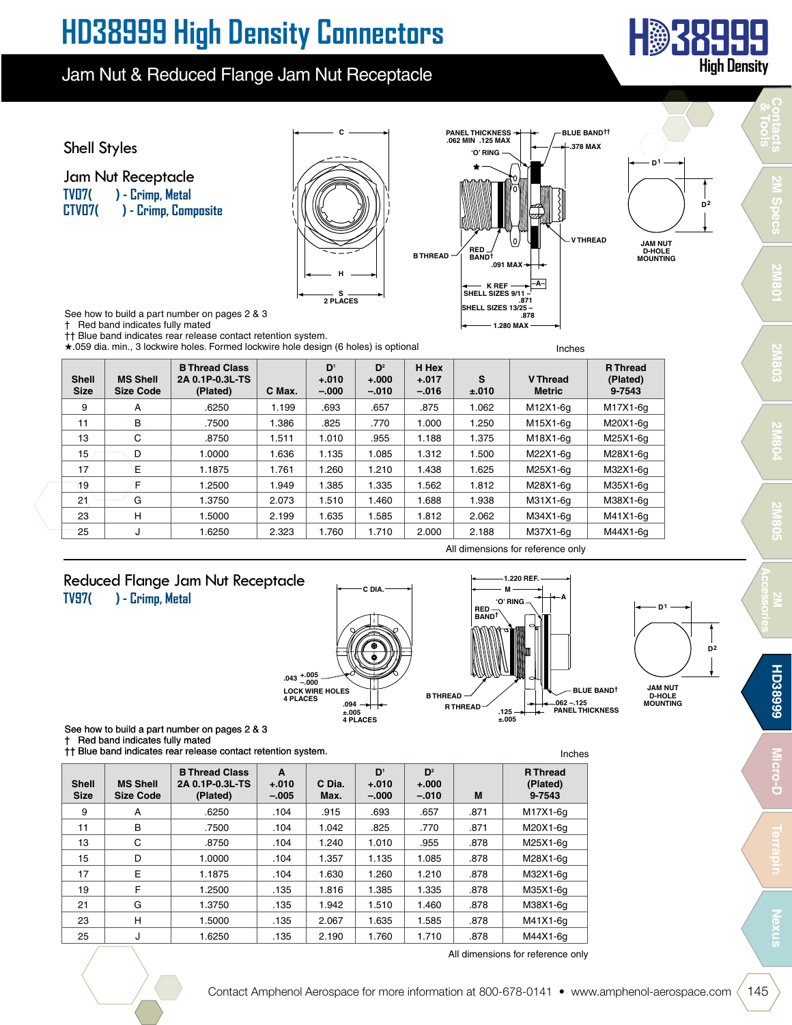### Jam Nut & Reduced Flange Jam Nut Receptacle



All dimensions for reference only

25 J 1.6250 .135 2.190 1.760 1.710 .878 M44X1-6g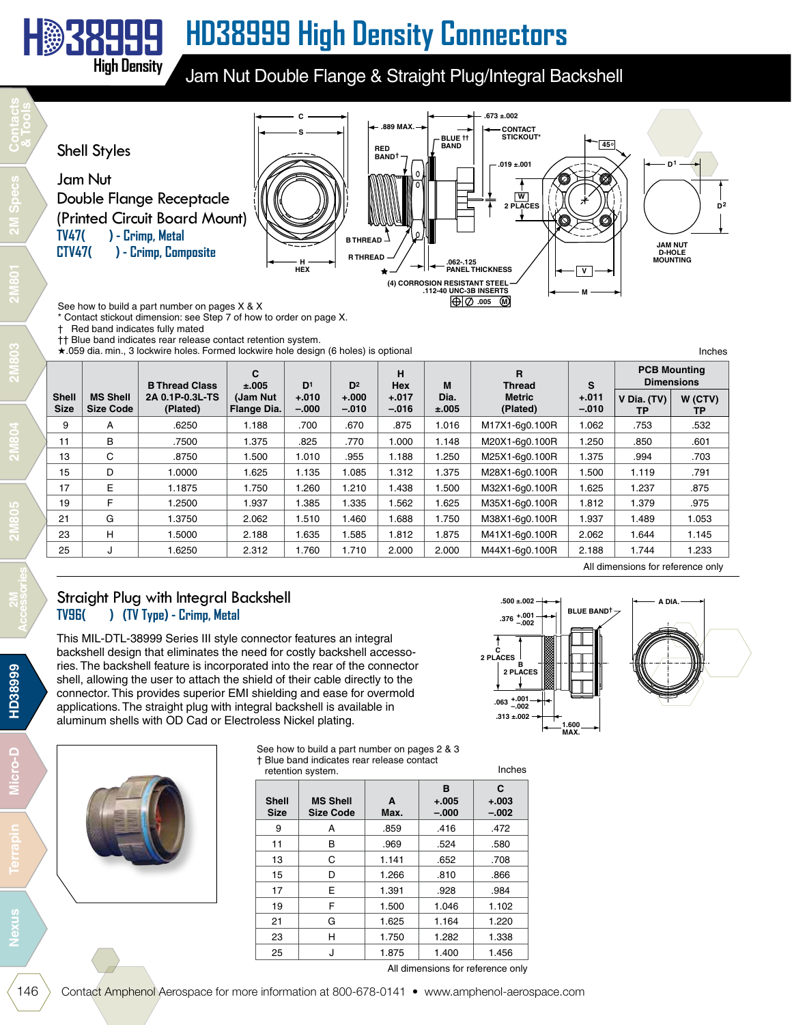### **H 38999 HD38999 High Density Connectors**

Jam Nut Double Flange & Straight Plug/Integral Backshell



Contact stickout dimension: see Step 7 of how to order on page X.

† Red band indicates fully mated

**High Density**

†† Blue band indicates rear release contact retention system.

★ 059 dia. min., 3 lockwire holes. Formed lockwire hole design (6 holes) is optional Inches

|                             |                                     | <b>B Thread Class</b>       | C<br>±.005               | D <sup>1</sup>     | D <sub>2</sub>     | н<br><b>Hex</b>    | M             | R<br><b>Thread</b>        | S                  | <b>PCB Mounting</b><br><b>Dimensions</b> |               |
|-----------------------------|-------------------------------------|-----------------------------|--------------------------|--------------------|--------------------|--------------------|---------------|---------------------------|--------------------|------------------------------------------|---------------|
| <b>Shell</b><br><b>Size</b> | <b>MS Shell</b><br><b>Size Code</b> | 2A 0.1P-0.3L-TS<br>(Plated) | (Jam Nut)<br>Flange Dia. | $+.010$<br>$-.000$ | $+.000$<br>$-.010$ | $+.017$<br>$-0.16$ | Dia.<br>±.005 | <b>Metric</b><br>(Plated) | $+.011$<br>$-.010$ | V Dia. (TV)<br>ТP                        | W (CTV)<br>ТP |
| 9                           | A                                   | .6250                       | 1.188                    | .700               | .670               | .875               | .016          | M17X1-6q0.100R            | 1.062              | .753                                     | .532          |
| 11                          | B                                   | .7500                       | 1.375                    | .825               | .770               | 1.000              | 1.148         | M20X1-6q0.100R            | 1.250              | .850                                     | .601          |
| 13                          | C                                   | .8750                       | 1.500                    | 1.010              | .955               | 1.188              | .250          | M25X1-6q0.100R            | 1.375              | .994                                     | .703          |
| 15                          | D                                   | 1.0000                      | 1.625                    | 1.135              | .085               | 1.312              | .375          | M28X1-6q0.100R            | 1.500              | 1.119                                    | .791          |
| 17                          | E                                   | 1.1875                      | 1.750                    | 1.260              | 1.210              | 1.438              | .500          | M32X1-6q0.100R            | 1.625              | 1.237                                    | .875          |
| 19                          | F                                   | 1.2500                      | 1.937                    | 1.385              | 1.335              | 1.562              | .625          | M35X1-6q0.100R            | 1.812              | 1.379                                    | .975          |
| 21                          | G                                   | 1.3750                      | 2.062                    | 1.510              | 1.460              | 1.688              | .750          | M38X1-6q0.100R            | 1.937              | 1.489                                    | 1.053         |
| 23                          | н                                   | 1.5000                      | 2.188                    | 1.635              | .585               | 1.812              | I.875         | M41X1-6q0.100R            | 2.062              | 1.644                                    | 1.145         |
| 25                          | J                                   | 1.6250                      | 2.312                    | 1.760              | 1.710              | 2.000              | 2.000         | M44X1-6q0.100R            | 2.188              | 1.744                                    | 1.233         |

### Straight Plug with Integral Backshell **TV96( ) (TV Type) - Crimp, Metal**

This MIL-DTL-38999 Series III style connector features an integral backshell design that eliminates the need for costly backshell accessories. The backshell feature is incorporated into the rear of the connector shell, allowing the user to attach the shield of their cable directly to the connector. This provides superior EMI shielding and ease for overmold applications. The straight plug with integral backshell is available in aluminum shells with OD Cad or Electroless Nickel plating.



See how to build a part number on pages 2 & 3 † Blue band indicates rear release contact retention system. Inches

| <b>Shell</b><br><b>Size</b> | <b>MS Shell</b><br><b>Size Code</b> | A<br>Max. | в<br>$+.005$<br>$-.000$ | C<br>$+.003$<br>$-.002$ |
|-----------------------------|-------------------------------------|-----------|-------------------------|-------------------------|
| 9                           | А                                   | .859      | .416                    | .472                    |
| 11                          | B                                   | .969      | .524                    | .580                    |
| 13                          | C                                   | 1.141     | .652                    | .708                    |
| 15                          | D                                   | 1.266     | .810                    | .866                    |
| 17                          | E                                   | 1.391     | .928                    | .984                    |
| 19                          | F                                   | 1.500     | 1.046                   | 1.102                   |
| 21                          | G                                   | 1.625     | 1.164                   | 1.220                   |
| 23                          | н                                   | 1.750     | 1.282                   | 1.338                   |
| 25                          | J                                   | 1.875     | 1.400                   | 1.456                   |



All dimensions for reference only

**1.600 MAX.**

**C 2 PLACES**

**.313 ±.002**

**+.001 –.002 .063**

**HD38999** 

<u>ۃ</u>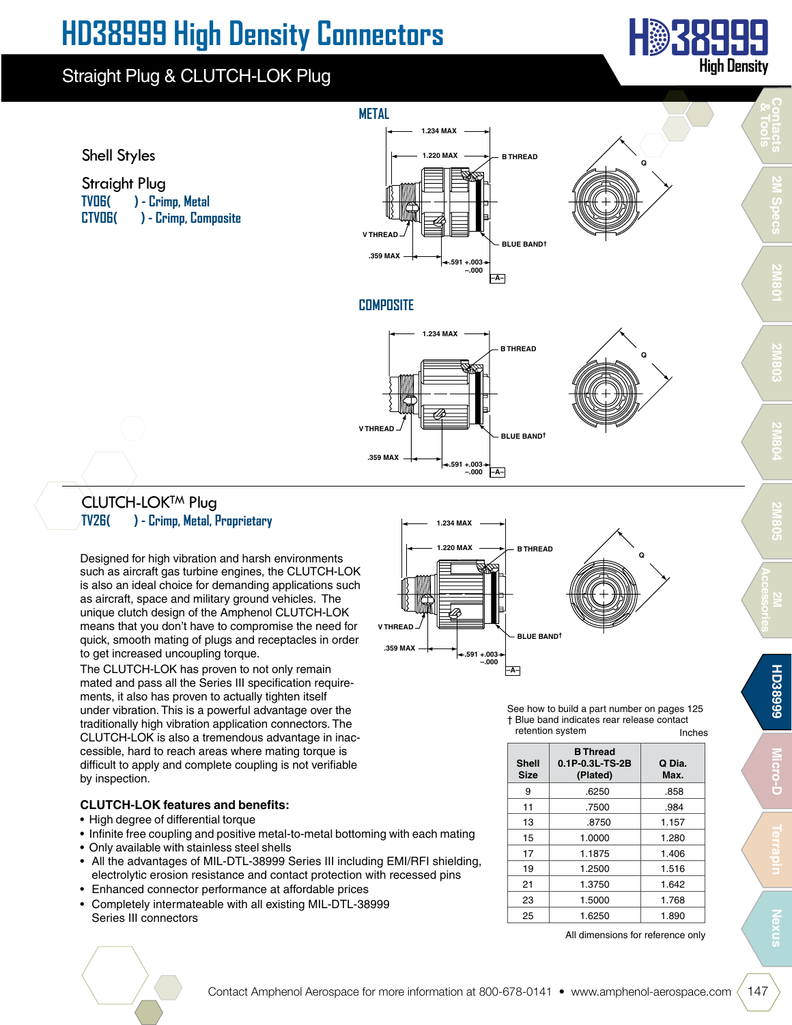### Straight Plug & CLUTCH-LOK Plug









### **COMPOSITE**



### **CLUTCH-LOKTM Plug TV26( ) - Crimp, Metal, Proprietary**

Designed for high vibration and harsh environments such as aircraft gas turbine engines, the CLUTCH-LOK is also an ideal choice for demanding applications such as aircraft, space and military ground vehicles. The unique clutch design of the Amphenol CLUTCH-LOK means that you don't have to compromise the need for quick, smooth mating of plugs and receptacles in order to get increased uncoupling torque.

The CLUTCH-LOK has proven to not only remain mated and pass all the Series III specification requirements, it also has proven to actually tighten itself under vibration. This is a powerful advantage over the traditionally high vibration application connectors. The CLUTCH-LOK is also a tremendous advantage in inaccessible, hard to reach areas where mating torque is difficult to apply and complete coupling is not verifiable by inspection.

#### **CLUTCH-LOK features and benefits:**

- High degree of differential torque
- Infinite free coupling and positive metal-to-metal bottoming with each mating
- Only available with stainless steel shells
- All the advantages of MIL-DTL-38999 Series III including EMI/RFI shielding, electrolytic erosion resistance and contact protection with recessed pins
- Enhanced connector performance at affordable prices
- Completely intermateable with all existing MIL-DTL-38999 Series III connectors



Inches See how to build a part number on pages 125 † Blue band indicates rear release contact retention system

| <b>Shell</b><br><b>Size</b> | <b>B</b> Thread<br>$0.1P - 0.3L - TS - 2B$<br>(Plated) | Q Dia.<br>Max. |
|-----------------------------|--------------------------------------------------------|----------------|
| 9                           | .6250                                                  | .858           |
|                             |                                                        |                |
| 11                          | .7500                                                  | .984           |
| 13                          | .8750                                                  | 1.157          |
| 15                          | 1.0000                                                 | 1.280          |
| 17                          | 1.1875                                                 | 1.406          |
| 19                          | 1.2500                                                 | 1.516          |
| 21                          | 1.3750                                                 | 1.642          |
| 23                          | 1.5000                                                 | 1.768          |
| 25                          | 1.6250                                                 | 1.890          |